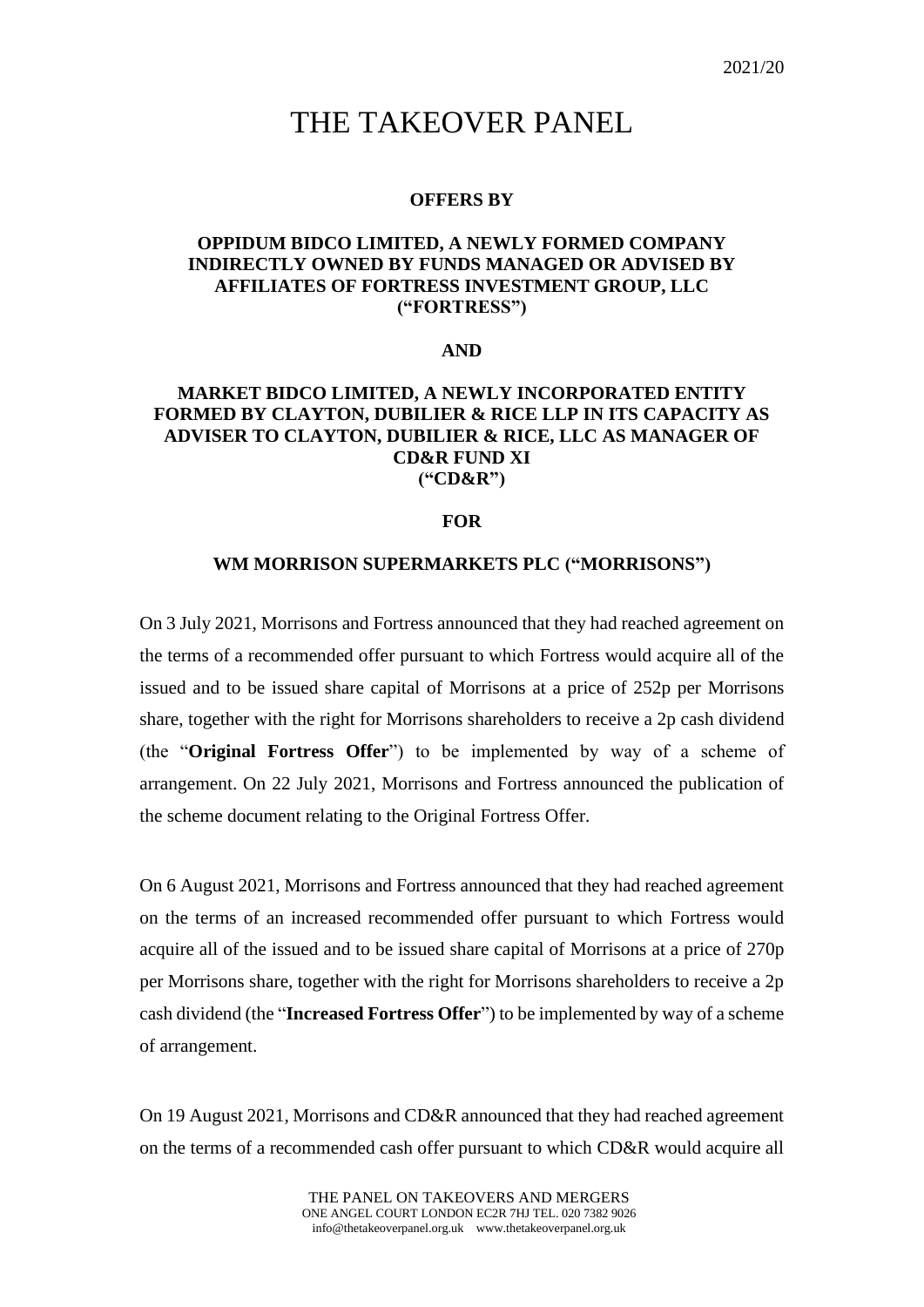# THE TAKEOVER PANEL

## **OFFERS BY**

# **OPPIDUM BIDCO LIMITED, A NEWLY FORMED COMPANY INDIRECTLY OWNED BY FUNDS MANAGED OR ADVISED BY AFFILIATES OF FORTRESS INVESTMENT GROUP, LLC ("FORTRESS")**

## **AND**

# **MARKET BIDCO LIMITED, A NEWLY INCORPORATED ENTITY FORMED BY CLAYTON, DUBILIER & RICE LLP IN ITS CAPACITY AS ADVISER TO CLAYTON, DUBILIER & RICE, LLC AS MANAGER OF CD&R FUND XI ("CD&R")**

## **FOR**

#### **WM MORRISON SUPERMARKETS PLC ("MORRISONS")**

On 3 July 2021, Morrisons and Fortress announced that they had reached agreement on the terms of a recommended offer pursuant to which Fortress would acquire all of the issued and to be issued share capital of Morrisons at a price of 252p per Morrisons share, together with the right for Morrisons shareholders to receive a 2p cash dividend (the "**Original Fortress Offer**") to be implemented by way of a scheme of arrangement. On 22 July 2021, Morrisons and Fortress announced the publication of the scheme document relating to the Original Fortress Offer.

On 6 August 2021, Morrisons and Fortress announced that they had reached agreement on the terms of an increased recommended offer pursuant to which Fortress would acquire all of the issued and to be issued share capital of Morrisons at a price of 270p per Morrisons share, together with the right for Morrisons shareholders to receive a 2p cash dividend (the "**Increased Fortress Offer**") to be implemented by way of a scheme of arrangement.

On 19 August 2021, Morrisons and CD&R announced that they had reached agreement on the terms of a recommended cash offer pursuant to which CD&R would acquire all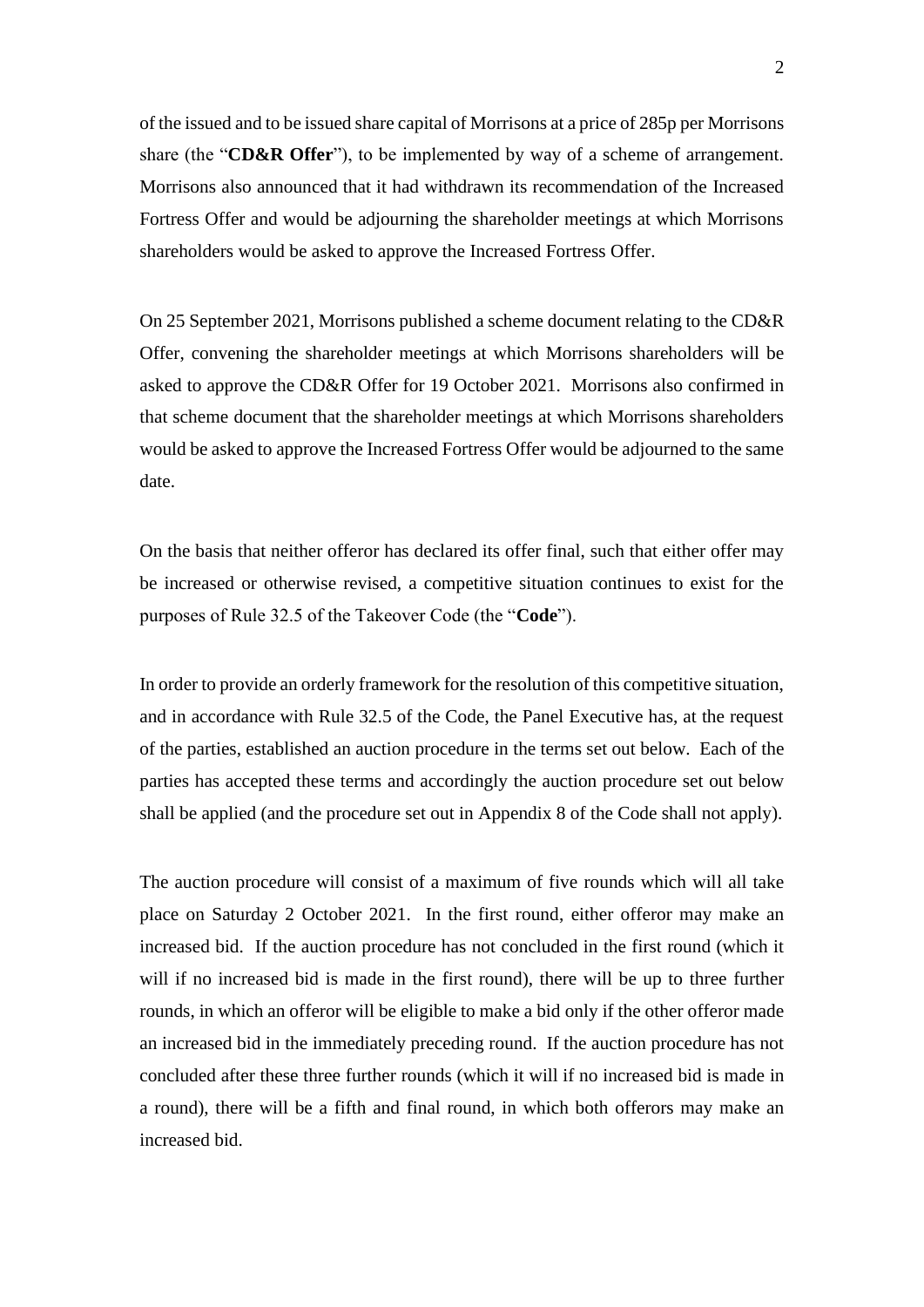of the issued and to be issued share capital of Morrisons at a price of 285p per Morrisons share (the "**CD&R Offer**"), to be implemented by way of a scheme of arrangement. Morrisons also announced that it had withdrawn its recommendation of the Increased Fortress Offer and would be adjourning the shareholder meetings at which Morrisons shareholders would be asked to approve the Increased Fortress Offer.

On 25 September 2021, Morrisons published a scheme document relating to the CD&R Offer, convening the shareholder meetings at which Morrisons shareholders will be asked to approve the CD&R Offer for 19 October 2021. Morrisons also confirmed in that scheme document that the shareholder meetings at which Morrisons shareholders would be asked to approve the Increased Fortress Offer would be adjourned to the same date.

On the basis that neither offeror has declared its offer final, such that either offer may be increased or otherwise revised, a competitive situation continues to exist for the purposes of Rule 32.5 of the Takeover Code (the "**Code**").

In order to provide an orderly framework for the resolution of this competitive situation, and in accordance with Rule 32.5 of the Code, the Panel Executive has, at the request of the parties, established an auction procedure in the terms set out below. Each of the parties has accepted these terms and accordingly the auction procedure set out below shall be applied (and the procedure set out in Appendix 8 of the Code shall not apply).

The auction procedure will consist of a maximum of five rounds which will all take place on Saturday 2 October 2021. In the first round, either offeror may make an increased bid. If the auction procedure has not concluded in the first round (which it will if no increased bid is made in the first round), there will be up to three further rounds, in which an offeror will be eligible to make a bid only if the other offeror made an increased bid in the immediately preceding round. If the auction procedure has not concluded after these three further rounds (which it will if no increased bid is made in a round), there will be a fifth and final round, in which both offerors may make an increased bid.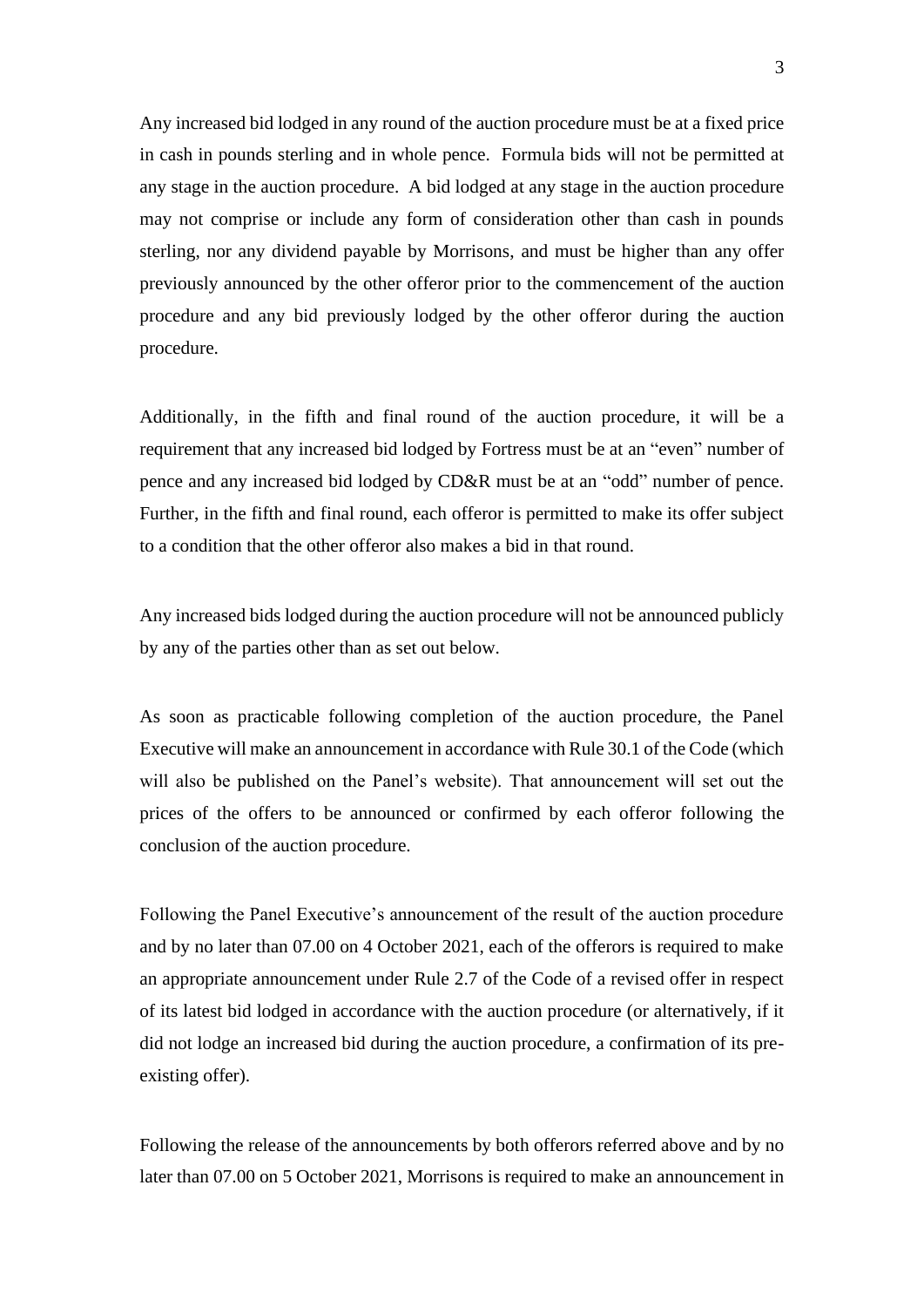Any increased bid lodged in any round of the auction procedure must be at a fixed price in cash in pounds sterling and in whole pence. Formula bids will not be permitted at any stage in the auction procedure. A bid lodged at any stage in the auction procedure may not comprise or include any form of consideration other than cash in pounds sterling, nor any dividend payable by Morrisons, and must be higher than any offer previously announced by the other offeror prior to the commencement of the auction procedure and any bid previously lodged by the other offeror during the auction procedure.

Additionally, in the fifth and final round of the auction procedure, it will be a requirement that any increased bid lodged by Fortress must be at an "even" number of pence and any increased bid lodged by CD&R must be at an "odd" number of pence. Further, in the fifth and final round, each offeror is permitted to make its offer subject to a condition that the other offeror also makes a bid in that round.

Any increased bids lodged during the auction procedure will not be announced publicly by any of the parties other than as set out below.

As soon as practicable following completion of the auction procedure, the Panel Executive will make an announcement in accordance with Rule 30.1 of the Code (which will also be published on the Panel's website). That announcement will set out the prices of the offers to be announced or confirmed by each offeror following the conclusion of the auction procedure.

Following the Panel Executive's announcement of the result of the auction procedure and by no later than 07.00 on 4 October 2021, each of the offerors is required to make an appropriate announcement under Rule 2.7 of the Code of a revised offer in respect of its latest bid lodged in accordance with the auction procedure (or alternatively, if it did not lodge an increased bid during the auction procedure, a confirmation of its preexisting offer).

Following the release of the announcements by both offerors referred above and by no later than 07.00 on 5 October 2021, Morrisons is required to make an announcement in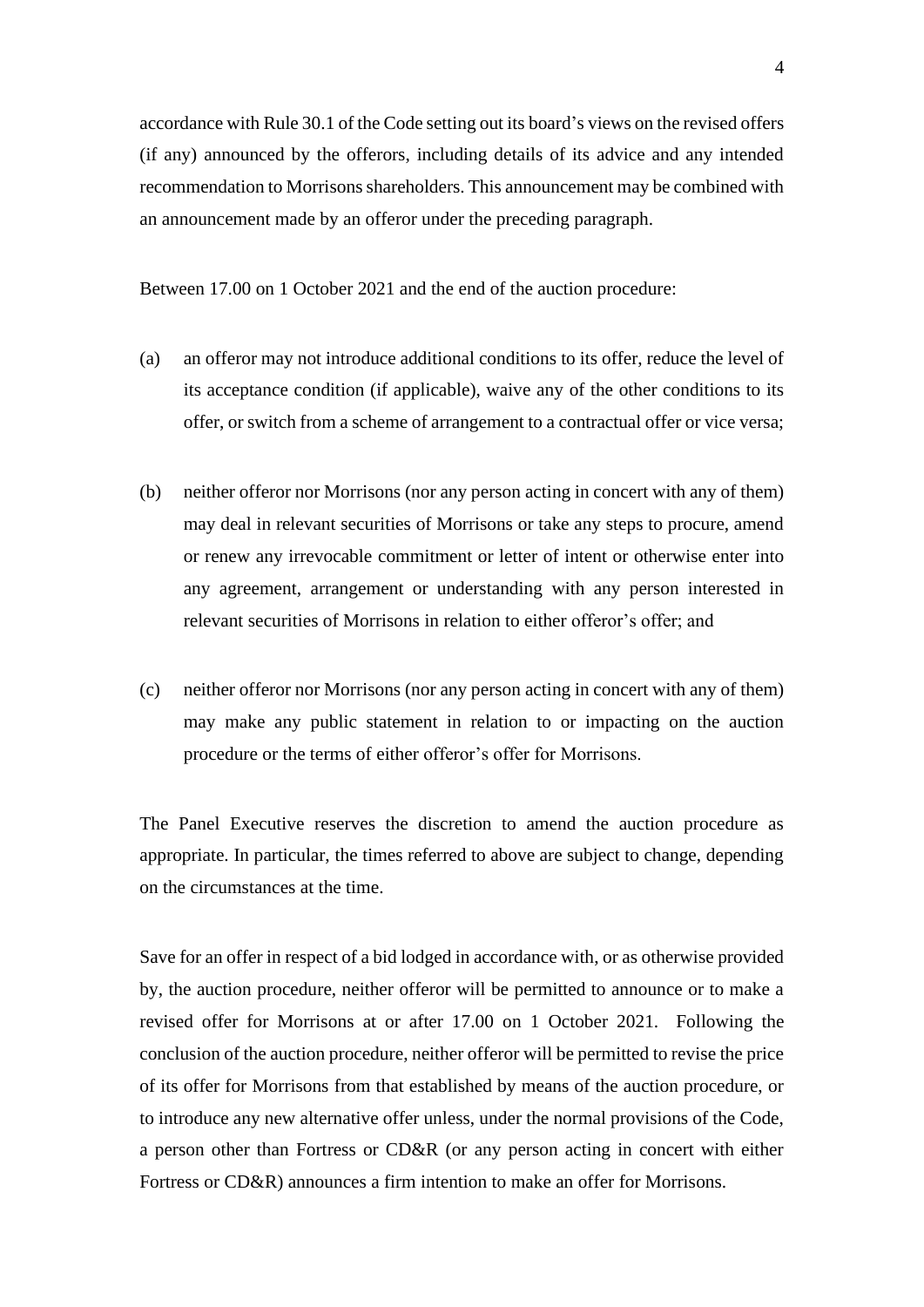accordance with Rule 30.1 of the Code setting out its board's views on the revised offers (if any) announced by the offerors, including details of its advice and any intended recommendation to Morrisons shareholders. This announcement may be combined with an announcement made by an offeror under the preceding paragraph.

Between 17.00 on 1 October 2021 and the end of the auction procedure:

- (a) an offeror may not introduce additional conditions to its offer, reduce the level of its acceptance condition (if applicable), waive any of the other conditions to its offer, or switch from a scheme of arrangement to a contractual offer or vice versa;
- (b) neither offeror nor Morrisons (nor any person acting in concert with any of them) may deal in relevant securities of Morrisons or take any steps to procure, amend or renew any irrevocable commitment or letter of intent or otherwise enter into any agreement, arrangement or understanding with any person interested in relevant securities of Morrisons in relation to either offeror's offer; and
- (c) neither offeror nor Morrisons (nor any person acting in concert with any of them) may make any public statement in relation to or impacting on the auction procedure or the terms of either offeror's offer for Morrisons.

The Panel Executive reserves the discretion to amend the auction procedure as appropriate. In particular, the times referred to above are subject to change, depending on the circumstances at the time.

Save for an offer in respect of a bid lodged in accordance with, or as otherwise provided by, the auction procedure, neither offeror will be permitted to announce or to make a revised offer for Morrisons at or after 17.00 on 1 October 2021. Following the conclusion of the auction procedure, neither offeror will be permitted to revise the price of its offer for Morrisons from that established by means of the auction procedure, or to introduce any new alternative offer unless, under the normal provisions of the Code, a person other than Fortress or CD&R (or any person acting in concert with either Fortress or CD&R) announces a firm intention to make an offer for Morrisons.